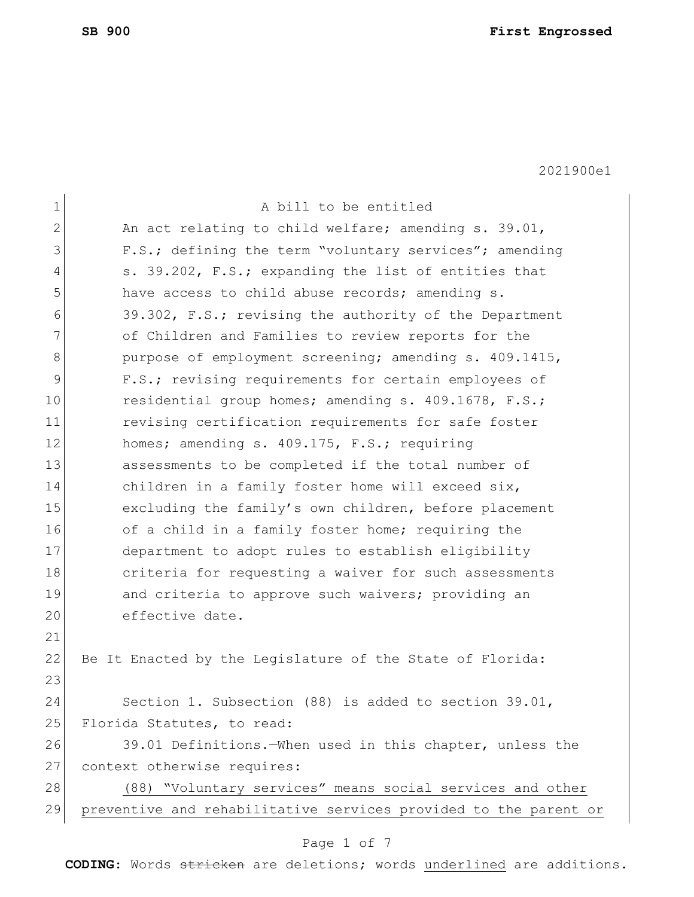| $\mathbf 1$ | A bill to be entitled                                            |
|-------------|------------------------------------------------------------------|
| 2           | An act relating to child welfare; amending s. 39.01,             |
| 3           | F.S.; defining the term "voluntary services"; amending           |
| 4           | s. 39.202, F.S.; expanding the list of entities that             |
| 5           | have access to child abuse records; amending s.                  |
| 6           | 39.302, F.S.; revising the authority of the Department           |
| 7           | of Children and Families to review reports for the               |
| 8           | purpose of employment screening; amending s. 409.1415,           |
| 9           | F.S.; revising requirements for certain employees of             |
| 10          | residential group homes; amending s. 409.1678, F.S.;             |
| 11          | revising certification requirements for safe foster              |
| 12          | homes; amending s. 409.175, F.S.; requiring                      |
| 13          | assessments to be completed if the total number of               |
| 14          | children in a family foster home will exceed six,                |
| 15          | excluding the family's own children, before placement            |
| 16          | of a child in a family foster home; requiring the                |
| 17          | department to adopt rules to establish eligibility               |
| 18          | criteria for requesting a waiver for such assessments            |
| 19          | and criteria to approve such waivers; providing an               |
| 20          | effective date.                                                  |
| 21          |                                                                  |
| 22          | Be It Enacted by the Legislature of the State of Florida:        |
| 23          |                                                                  |
| 24          | Section 1. Subsection (88) is added to section 39.01,            |
| 25          | Florida Statutes, to read:                                       |
| 26          | 39.01 Definitions. When used in this chapter, unless the         |
| 27          | context otherwise requires:                                      |
| 28          | (88) "Voluntary services" means social services and other        |
| 29          | preventive and rehabilitative services provided to the parent or |
|             |                                                                  |

# Page 1 of 7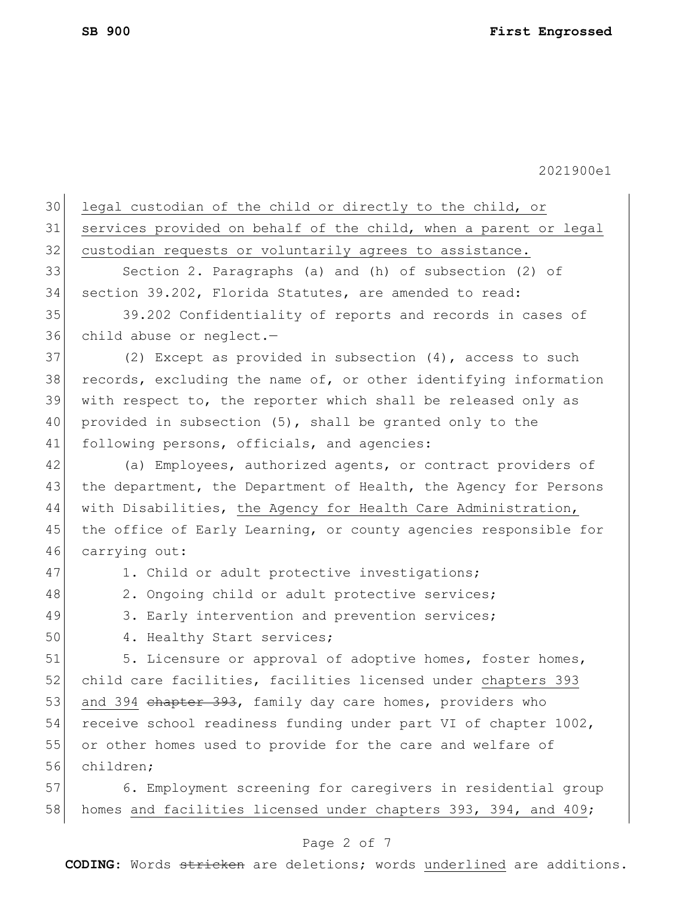| legal custodian of the child or directly to the child, or        |
|------------------------------------------------------------------|
| services provided on behalf of the child, when a parent or legal |
| custodian requests or voluntarily agrees to assistance.          |
| Section 2. Paragraphs (a) and (h) of subsection (2) of           |
| section 39.202, Florida Statutes, are amended to read:           |
| 39.202 Confidentiality of reports and records in cases of        |
| child abuse or neglect.-                                         |
| (2) Except as provided in subsection $(4)$ , access to such      |
| records, excluding the name of, or other identifying information |
| with respect to, the reporter which shall be released only as    |
| provided in subsection (5), shall be granted only to the         |
| following persons, officials, and agencies:                      |
| (a) Employees, authorized agents, or contract providers of       |
| the department, the Department of Health, the Agency for Persons |
| with Disabilities, the Agency for Health Care Administration,    |
| the office of Early Learning, or county agencies responsible for |
| carrying out:                                                    |
| 1. Child or adult protective investigations;                     |
| 2. Ongoing child or adult protective services;                   |
| 3. Early intervention and prevention services;                   |
| 4. Healthy Start services;                                       |
| 5. Licensure or approval of adoptive homes, foster homes,        |
| child care facilities, facilities licensed under chapters 393    |
| and 394 chapter 393, family day care homes, providers who        |
| receive school readiness funding under part VI of chapter 1002,  |
| or other homes used to provide for the care and welfare of       |
| children;                                                        |
| 6. Employment screening for caregivers in residential group      |
| homes and facilities licensed under chapters 393, 394, and 409;  |
|                                                                  |

# Page 2 of 7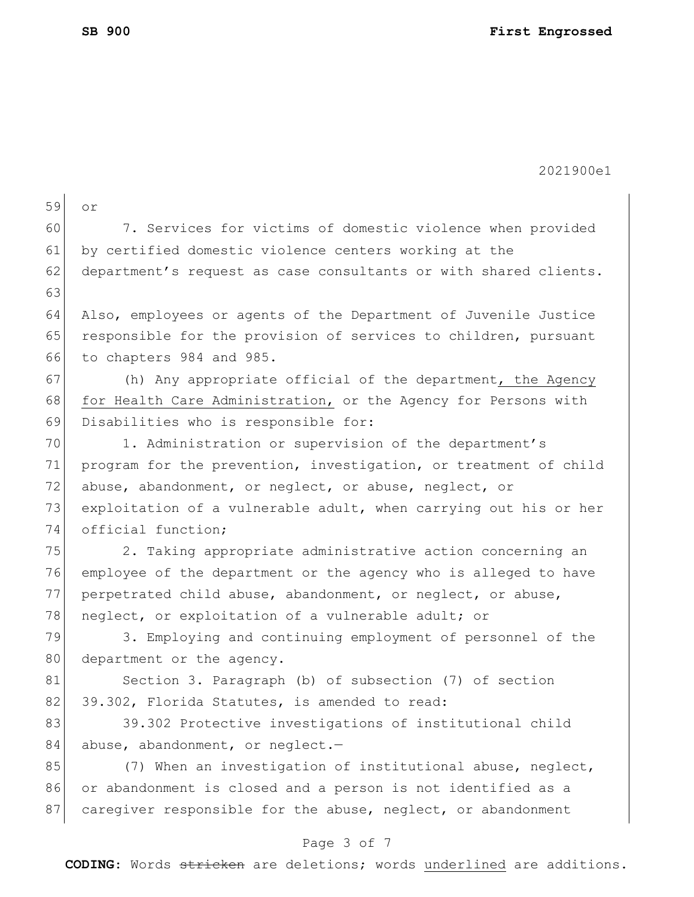| 59 | or                                                               |
|----|------------------------------------------------------------------|
| 60 | 7. Services for victims of domestic violence when provided       |
| 61 | by certified domestic violence centers working at the            |
| 62 | department's request as case consultants or with shared clients. |
| 63 |                                                                  |
| 64 | Also, employees or agents of the Department of Juvenile Justice  |
| 65 | responsible for the provision of services to children, pursuant  |
| 66 | to chapters 984 and 985.                                         |
| 67 | (h) Any appropriate official of the department, the Agency       |
| 68 | for Health Care Administration, or the Agency for Persons with   |
| 69 | Disabilities who is responsible for:                             |
| 70 | 1. Administration or supervision of the department's             |
| 71 | program for the prevention, investigation, or treatment of child |
| 72 | abuse, abandonment, or neglect, or abuse, neglect, or            |
| 73 | exploitation of a vulnerable adult, when carrying out his or her |
| 74 | official function;                                               |
| 75 | 2. Taking appropriate administrative action concerning an        |
| 76 | employee of the department or the agency who is alleged to have  |
| 77 | perpetrated child abuse, abandonment, or neglect, or abuse,      |
| 78 | neglect, or exploitation of a vulnerable adult; or               |
| 79 | 3. Employing and continuing employment of personnel of the       |
| 80 | department or the agency.                                        |
| 81 | Section 3. Paragraph (b) of subsection (7) of section            |
| 82 | 39.302, Florida Statutes, is amended to read:                    |
| 83 | 39.302 Protective investigations of institutional child          |
| 84 | abuse, abandonment, or neglect.-                                 |
| 85 | (7) When an investigation of institutional abuse, neglect,       |
| 86 | or abandonment is closed and a person is not identified as a     |
| 87 | caregiver responsible for the abuse, neglect, or abandonment     |
|    |                                                                  |

# Page 3 of 7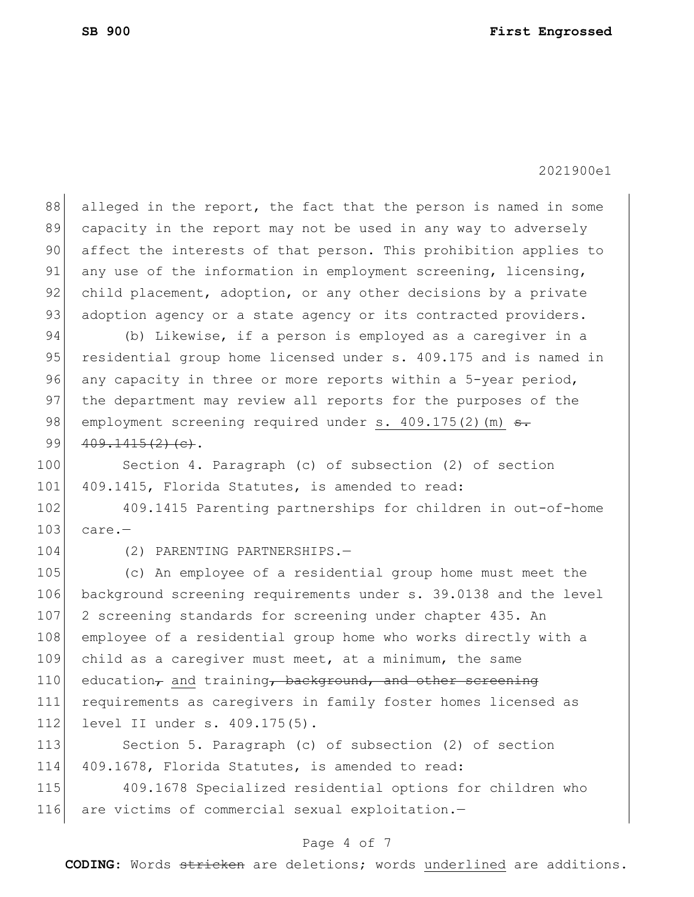88 alleged in the report, the fact that the person is named in some 89 capacity in the report may not be used in any way to adversely 90 affect the interests of that person. This prohibition applies to 91 any use of the information in employment screening, licensing, 92 child placement, adoption, or any other decisions by a private 93 adoption agency or a state agency or its contracted providers. 94 (b) Likewise, if a person is employed as a caregiver in a 95 residential group home licensed under s. 409.175 and is named in 96 any capacity in three or more reports within a 5-year period, 97 the department may review all reports for the purposes of the 98 employment screening required under s.  $409.175(2)$  (m)  $\rightarrow$ . 99  $409.1415(2)(e)$ . 100 Section 4. Paragraph (c) of subsection (2) of section 101 409.1415, Florida Statutes, is amended to read: 102 409.1415 Parenting partnerships for children in out-of-home  $103$  care.-104 (2) PARENTING PARTNERSHIPS.-105 (c) An employee of a residential group home must meet the 106 background screening requirements under s. 39.0138 and the level 107 2 screening standards for screening under chapter 435. An 108 employee of a residential group home who works directly with a 109 child as a caregiver must meet, at a minimum, the same 110 education, and training, background, and other screening 111 requirements as caregivers in family foster homes licensed as 112 level II under s. 409.175(5). 113 Section 5. Paragraph (c) of subsection (2) of section 114 409.1678, Florida Statutes, is amended to read: 115 409.1678 Specialized residential options for children who

116 are victims of commercial sexual exploitation.-

### Page 4 of 7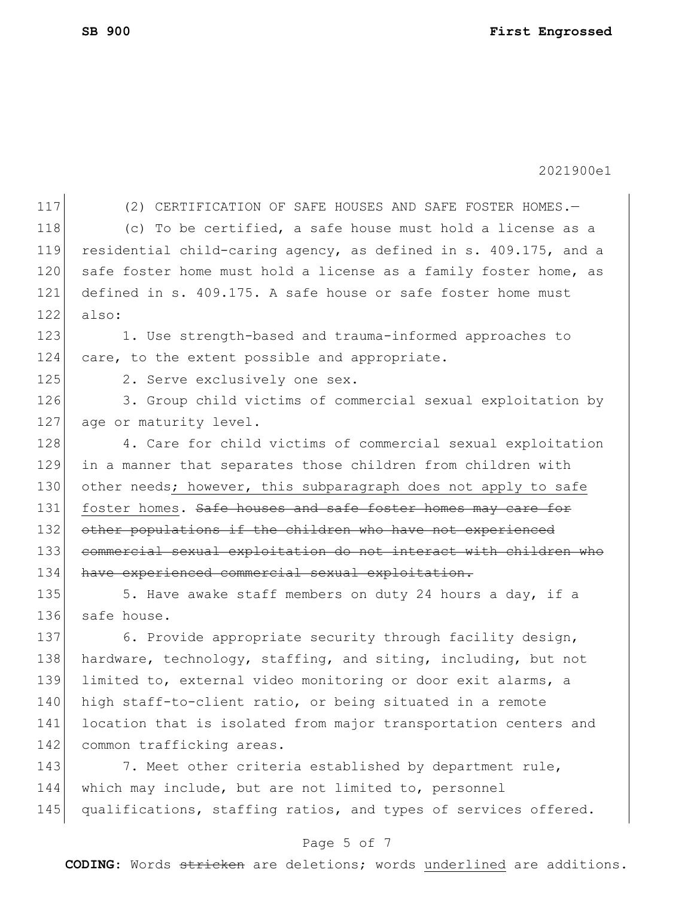117 (2) CERTIFICATION OF SAFE HOUSES AND SAFE FOSTER HOMES.-118 (c) To be certified, a safe house must hold a license as a 119 residential child-caring agency, as defined in s. 409.175, and a 120 safe foster home must hold a license as a family foster home, as 121 defined in s. 409.175. A safe house or safe foster home must  $122$  also: 123 1. Use strength-based and trauma-informed approaches to 124 care, to the extent possible and appropriate. 125 2. Serve exclusively one sex. 126 3. Group child victims of commercial sexual exploitation by 127 age or maturity level. 128 4. Care for child victims of commercial sexual exploitation 129 in a manner that separates those children from children with 130 other needs; however, this subparagraph does not apply to safe 131 foster homes. Safe houses and safe foster homes may care for 132 other populations if the children who have not experienced 133 commercial sexual exploitation do not interact with children who 134 have experienced commercial sexual exploitation. 135 5. Have awake staff members on duty 24 hours a day, if a 136 safe house. 137 6. Provide appropriate security through facility design, 138 hardware, technology, staffing, and siting, including, but not 139 limited to, external video monitoring or door exit alarms, a 140 high staff-to-client ratio, or being situated in a remote 141 location that is isolated from major transportation centers and 142 common trafficking areas. 143 7. Meet other criteria established by department rule, 144 which may include, but are not limited to, personnel 145 qualifications, staffing ratios, and types of services offered.

#### Page 5 of 7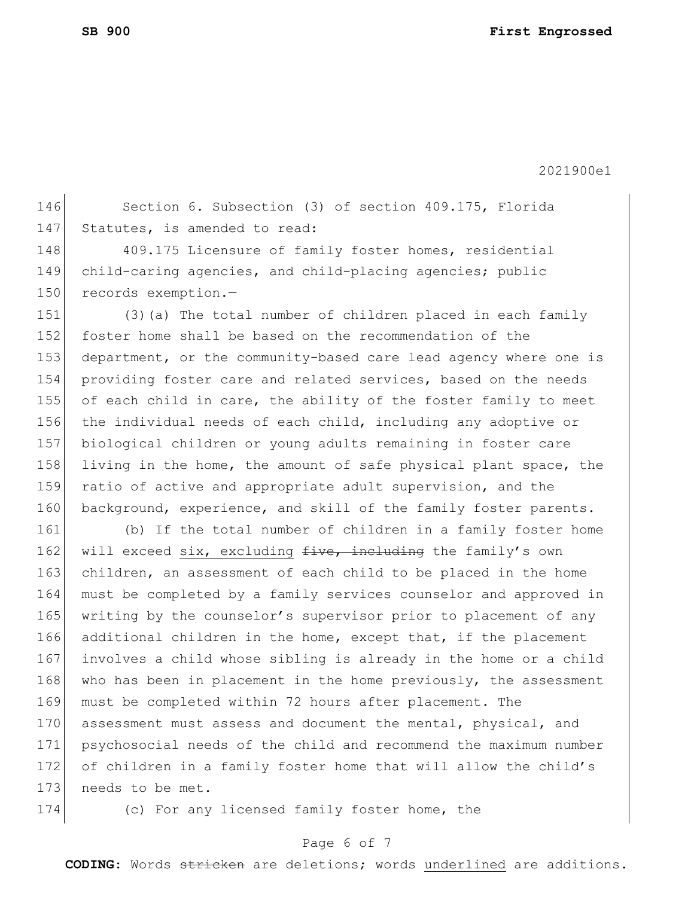146 Section 6. Subsection (3) of section 409.175, Florida 147 Statutes, is amended to read:

148 409.175 Licensure of family foster homes, residential 149 child-caring agencies, and child-placing agencies; public 150 records exemption.-

151 (3)(a) The total number of children placed in each family 152 foster home shall be based on the recommendation of the 153 department, or the community-based care lead agency where one is 154 providing foster care and related services, based on the needs 155 of each child in care, the ability of the foster family to meet 156 the individual needs of each child, including any adoptive or 157 biological children or young adults remaining in foster care 158 living in the home, the amount of safe physical plant space, the 159 ratio of active and appropriate adult supervision, and the 160 background, experience, and skill of the family foster parents.

 (b) If the total number of children in a family foster home 162 will exceed six, excluding  $f$ ive, including the family's own 163 children, an assessment of each child to be placed in the home must be completed by a family services counselor and approved in writing by the counselor's supervisor prior to placement of any additional children in the home, except that, if the placement involves a child whose sibling is already in the home or a child 168 who has been in placement in the home previously, the assessment must be completed within 72 hours after placement. The 170 assessment must assess and document the mental, physical, and psychosocial needs of the child and recommend the maximum number of children in a family foster home that will allow the child's 173 needs to be met.

174 (c) For any licensed family foster home, the

### Page 6 of 7